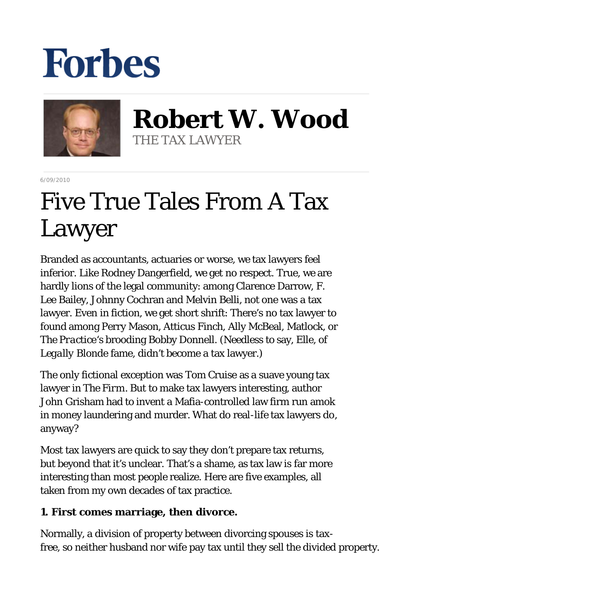# **Forbes**



**Robert W. Wood** THE TAX LAWYER

6/09/2010

# Five True Tales From A Tax Lawyer

Branded as accountants, actuaries or worse, we tax lawyers feel inferior. Like Rodney Dangerfield, we get no respect. True, we are hardly lions of the legal community: among Clarence Darrow, F. Lee Bailey, Johnny Cochran and Melvin Belli, not one was a tax lawyer. Even in fiction, we get short shrift: There's no tax lawyer to found among Perry Mason, Atticus Finch, Ally McBeal, Matlock, or *The Practice*'s brooding Bobby Donnell. (Needless to say, Elle, of *Legally Blonde* fame, didn't become a tax lawyer.)

The only fictional exception was Tom Cruise as a suave young tax lawyer in *The Firm*. But to make tax lawyers interesting, author John Grisham had to invent a Mafia-controlled law firm run amok in money laundering and murder. What do real-life tax lawyers *do*, anyway?

Most tax lawyers are quick to say they don't prepare tax returns, but beyond that it's unclear. That's a shame, as tax law is far more interesting than most people realize. Here are five examples, all taken from my own decades of tax practice.

# **1. First comes marriage, then divorce.**

Normally, a division of property between divorcing spouses is taxfree, so neither husband nor wife pay tax until they sell the divided property.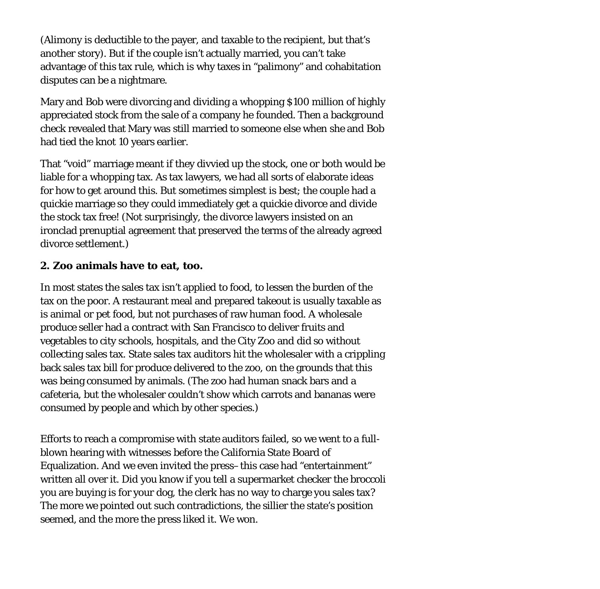(Alimony is deductible to the payer, and taxable to the recipient, but that's another story). But if the couple isn't actually married, you can't take advantage of this tax rule, which is why taxes in "palimony" and cohabitation disputes can be a nightmare.

Mary and Bob were divorcing and dividing a whopping \$100 million of highly appreciated stock from the sale of a company he founded. Then a background check revealed that Mary was still married to someone else when she and Bob had tied the knot 10 years earlier.

That "void" marriage meant if they divvied up the stock, one or both would be liable for a whopping tax. As tax lawyers, we had all sorts of elaborate ideas for how to get around this. But sometimes simplest is best; the couple had a quickie marriage so they could immediately get a quickie divorce and divide the stock tax free! (Not surprisingly, the divorce lawyers insisted on an ironclad prenuptial agreement that preserved the terms of the already agreed divorce settlement.)

#### **2. Zoo animals have to eat, too.**

In most states the sales tax isn't applied to food, to lessen the burden of the tax on the poor. A restaurant meal and prepared takeout is usually taxable as is animal or pet food, but not purchases of raw human food. A wholesale produce seller had a contract with San Francisco to deliver fruits and vegetables to city schools, hospitals, and the City Zoo and did so without collecting sales tax. State sales tax auditors hit the wholesaler with a crippling back sales tax bill for produce delivered to the zoo, on the grounds that this was being consumed by animals. (The zoo had human snack bars and a cafeteria, but the wholesaler couldn't show which carrots and bananas were consumed by people and which by other species.)

Efforts to reach a compromise with state auditors failed, so we went to a fullblown hearing with witnesses before the California State Board of Equalization. And we even invited the press–this case had "entertainment" written all over it. Did you know if you tell a supermarket checker the broccoli you are buying is for your dog, the clerk has no way to charge you sales tax? The more we pointed out such contradictions, the sillier the state's position seemed, and the more the press liked it. We won.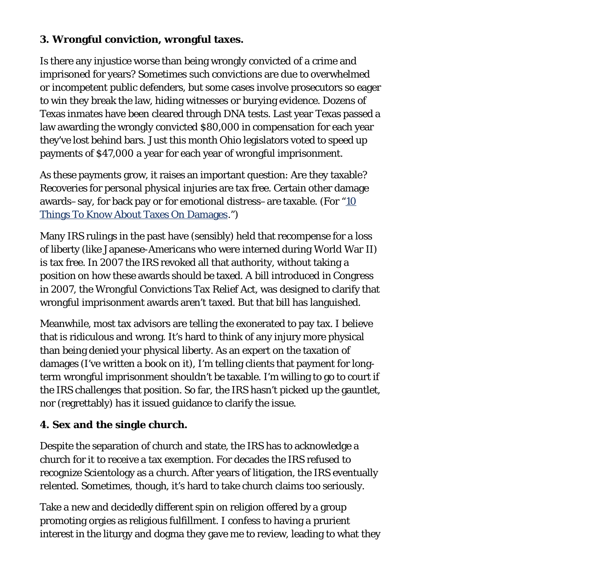#### **3. Wrongful conviction, wrongful taxes.**

Is there any injustice worse than being wrongly convicted of a crime and imprisoned for years? Sometimes such convictions are due to overwhelmed or incompetent public defenders, but some cases involve prosecutors so eager to win they break the law, hiding witnesses or burying evidence. Dozens of Texas inmates have been cleared through DNA tests. Last year Texas passed a law awarding the wrongly convicted \$80,000 in compensation for each year they've lost behind bars. Just this month Ohio legislators voted to speed up payments of \$47,000 a year for each year of wrongful imprisonment.

As these payments grow, it raises an important question: Are they tax[abl](http://www.forbes.com/2010/04/29/tax-legal-damages-employment-injury-personal-finance-robert-wood.html)e? [Recoveries for personal physical injuries ar](http://www.forbes.com/2010/04/29/tax-legal-damages-employment-injury-personal-finance-robert-wood.html)e tax free. Certain other damage awards–say, for back pay or for emotional distress–are taxable. (For "10 Things To Know About Taxes On Damages.")

Many IRS rulings in the past have (sensibly) held that recompense for a loss of liberty (like Japanese-Americans who were interned during World War II) is tax free. In 2007 the IRS revoked all that authority, without taking a position on how these awards should be taxed. A bill introduced in Congress in 2007, the Wrongful Convictions Tax Relief Act, was designed to clarify that wrongful imprisonment awards aren't taxed. But that bill has languished.

Meanwhile, most tax advisors are telling the exonerated to pay tax. I believe that is ridiculous and wrong. It's hard to think of any injury more physical than being denied your physical liberty. As an expert on the taxation of damages (I've written a book on it), I'm telling clients that payment for longterm wrongful imprisonment shouldn't be taxable. I'm willing to go to court if the IRS challenges that position. So far, the IRS hasn't picked up the gauntlet, nor (regrettably) has it issued guidance to clarify the issue.

# **4. Sex and the single church.**

Despite the separation of church and state, the IRS has to acknowledge a church for it to receive a tax exemption. For decades the IRS refused to recognize Scientology as a church. After years of litigation, the IRS eventually relented. Sometimes, though, it's hard to take church claims too seriously.

Take a new and decidedly different spin on religion offered by a group promoting orgies as religious fulfillment. I confess to having a prurient interest in the liturgy and dogma they gave me to review, leading to what they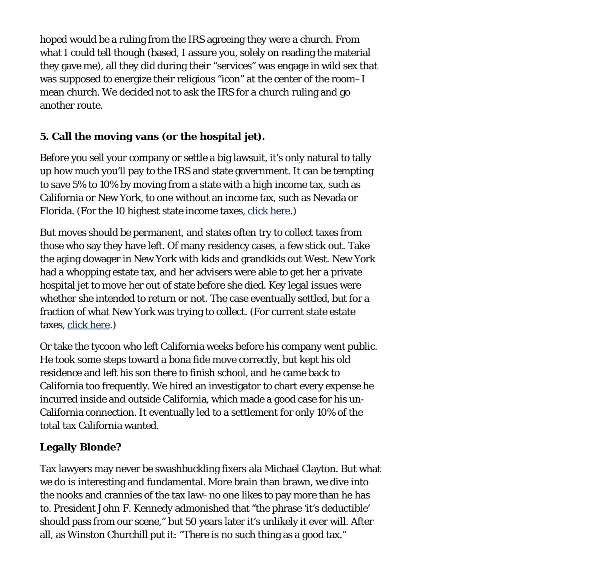hoped would be a ruling from the IRS agreeing they were a church. From what I could tell though (based, I assure you, solely on reading the material they gave me), all they did during their "services" was engage in wild sex that was supposed to energize their religious "icon" at the center of the room–I mean church. We decided not to ask the IRS for a church ruling and go another route.

### **5. Call the moving vans (or the hospital jet).**

Before you sell your company or settle a big lawsuit, it's only natural to tally up how much you'll pay to the IRS and state government. It can be tempting to save 5% to 10% by moving from a state with [a high inco](http://www.forbes.com/2009/06/29/state-income-taxes-personal-finance-highest-rates-2009_slide.htm)me tax, such as California or New York, to one without an income tax, such as Nevada or Florida. (For the 10 highest state income taxes, click here.)

But moves should be permanent, and states often try to collect taxes from those who say they have left. Of many residency cases, a few stick out. Take the aging dowager in New York with kids and grandkids out West. New York had a whopping estate tax, and her advisers were able to get her a private hospital jet to move her out of state before she died. Key legal issues were wheth[er she inte](http://www.forbes.com/2010/02/03/state-estate-tax-laws-personal-finance-2010-map.html)nded to return or not. The case eventually settled, but for a fraction of what New York was trying to collect. (For current state estate taxes, click here.)

Or take the tycoon who left California weeks before his company went public. He took some steps toward a bona fide move correctly, but kept his old residence and left his son there to finish school, and he came back to California too frequently. We hired an investigator to chart every expense he incurred inside and outside California, which made a good case for his un-California connection. It eventually led to a settlement for only 10% of the total tax California wanted.

# **Legally Blonde?**

Tax lawyers may never be swashbuckling fixers ala Michael Clayton. But what we do is interesting and fundamental. More brain than brawn, we dive into the nooks and crannies of the tax law–no one likes to pay more than he has to. President John F. Kennedy admonished that "the phrase 'it's deductible' should pass from our scene," but 50 years later it's unlikely it ever will. After all, as Winston Churchill put it: "There i[s no such thing as a g](http://www.woodporter.com/)ood tax."